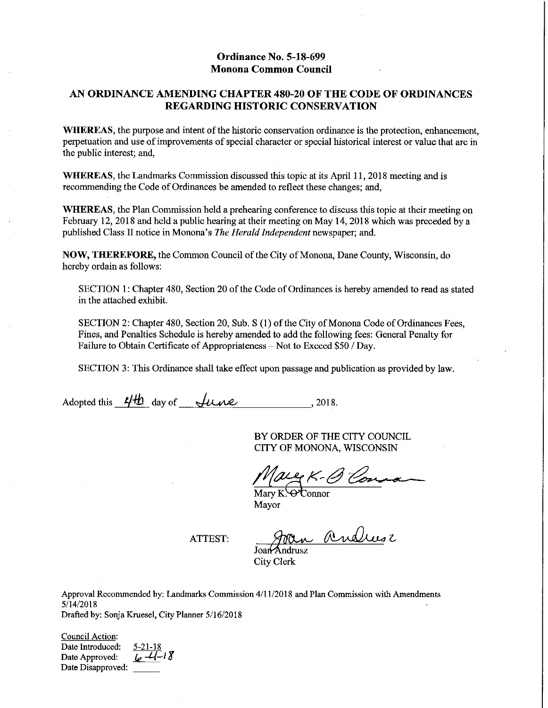### Ordinance No. 5-18-699 **Monona Common Council**

### AN ORDINANCE AMENDING CHAPTER 480-20 OF THE CODE OF ORDINANCES **REGARDING HISTORIC CONSERVATION**

**WHEREAS**, the purpose and intent of the historic conservation ordinance is the protection, enhancement, perpetuation and use of improvements of special character or special historical interest or value that are in the public interest; and,

WHEREAS, the Landmarks Commission discussed this topic at its April 11, 2018 meeting and is recommending the Code of Ordinances be amended to reflect these changes; and,

**WHEREAS**, the Plan Commission held a prehearing conference to discuss this topic at their meeting on February 12, 2018 and held a public hearing at their meeting on May 14, 2018 which was preceded by a published Class II notice in Monona's The Herald Independent newspaper; and.

**NOW, THEREFORE, the Common Council of the City of Monona, Dane County, Wisconsin, do** hereby ordain as follows:

SECTION 1: Chapter 480, Section 20 of the Code of Ordinances is hereby amended to read as stated in the attached exhibit.

SECTION 2: Chapter 480, Section 20, Sub. S (1) of the City of Monona Code of Ordinances Fees, Fines, and Penalties Schedule is hereby amended to add the following fees: General Penalty for Failure to Obtain Certificate of Appropriateness – Not to Exceed \$50 / Day.

SECTION 3: This Ordinance shall take effect upon passage and publication as provided by law.

Adopted this  $4/4b$  day of  $\sqrt{u}$   $\omega$  . 2018.

BY ORDER OF THE CITY COUNCIL CITY OF MONONA, WISCONSIN

are K-O Con

 $\overline{\text{Marv K.}}$   $\Theta$   $\overline{\text{Connor}}$ Mayor

**ATTEST:** 

Joan Andrese

Joan Andrusz City Clerk

Approval Recommended by: Landmarks Commission 4/11/2018 and Plan Commission with Amendments  $5/14/2018$ Drafted by: Sonja Kruesel, City Planner 5/16/2018

**Council Action:** 

Date Introduced: Date Approved: Date Disapproved:

 $6 - 4 - 18$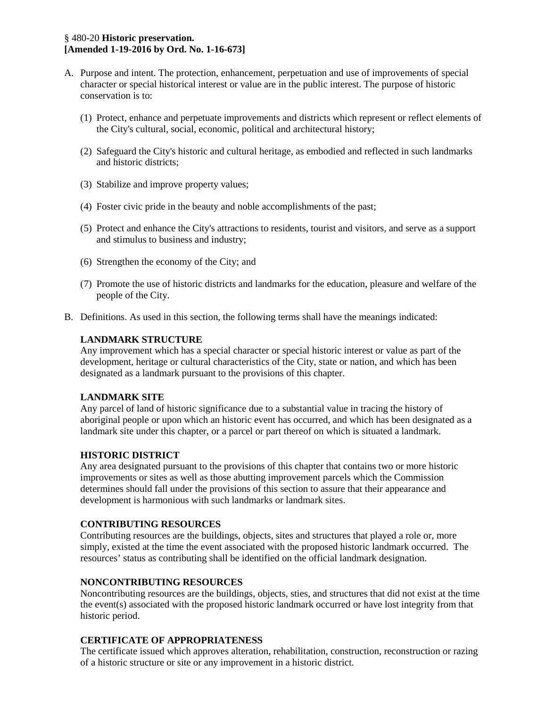### § 480-20 **Historic preservation. [Amended 1-19-2016 by Ord. No. 1-16-673]**

- A. Purpose and intent. The protection, enhancement, perpetuation and use of improvements of special character or special historical interest or value are in the public interest. The purpose of historic conservation is to:
	- (1) Protect, enhance and perpetuate improvements and districts which represent or reflect elements of the City's cultural, social, economic, political and architectural history;
	- (2) Safeguard the City's historic and cultural heritage, as embodied and reflected in such landmarks and historic districts;
	- (3) Stabilize and improve property values;
	- (4) Foster civic pride in the beauty and noble accomplishments of the past;
	- (5) Protect and enhance the City's attractions to residents, tourist and visitors, and serve as a support and stimulus to business and industry;
	- (6) Strengthen the economy of the City; and
	- (7) Promote the use of historic districts and landmarks for the education, pleasure and welfare of the people of the City.
- B. Definitions. As used in this section, the following terms shall have the meanings indicated:

### **LANDMARK STRUCTURE**

Any improvement which has a special character or special historic interest or value as part of the development, heritage or cultural characteristics of the City, state or nation, and which has been designated as a landmark pursuant to the provisions of this chapter.

#### **LANDMARK SITE**

Any parcel of land of historic significance due to a substantial value in tracing the history of aboriginal people or upon which an historic event has occurred, and which has been designated as a landmark site under this chapter, or a parcel or part thereof on which is situated a landmark.

#### **HISTORIC DISTRICT**

Any area designated pursuant to the provisions of this chapter that contains two or more historic improvements or sites as well as those abutting improvement parcels which the Commission determines should fall under the provisions of this section to assure that their appearance and development is harmonious with such landmarks or landmark sites.

#### **CONTRIBUTING RESOURCES**

Contributing resources are the buildings, objects, sites and structures that played a role or, more simply, existed at the time the event associated with the proposed historic landmark occurred. The resources' status as contributing shall be identified on the official landmark designation.

#### **NONCONTRIBUTING RESOURCES**

Noncontributing resources are the buildings, objects, sties, and structures that did not exist at the time the event(s) associated with the proposed historic landmark occurred or have lost integrity from that historic period.

#### **CERTIFICATE OF APPROPRIATENESS**

The certificate issued which approves alteration, rehabilitation, construction, reconstruction or razing of a historic structure or site or any improvement in a historic district.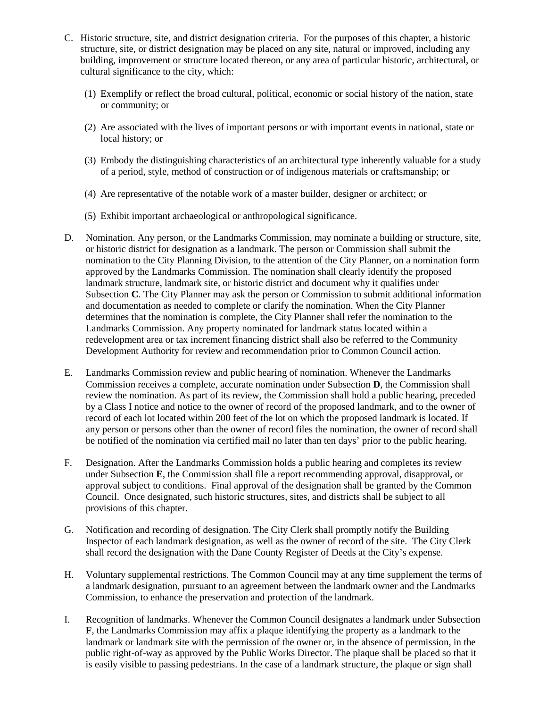- C. Historic structure, site, and district designation criteria. For the purposes of this chapter, a historic structure, site, or district designation may be placed on any site, natural or improved, including any building, improvement or structure located thereon, or any area of particular historic, architectural, or cultural significance to the city, which:
	- (1) Exemplify or reflect the broad cultural, political, economic or social history of the nation, state or community; or
	- (2) Are associated with the lives of important persons or with important events in national, state or local history; or
	- (3) Embody the distinguishing characteristics of an architectural type inherently valuable for a study of a period, style, method of construction or of indigenous materials or craftsmanship; or
	- (4) Are representative of the notable work of a master builder, designer or architect; or
	- (5) Exhibit important archaeological or anthropological significance.
- D. Nomination. Any person, or the Landmarks Commission, may nominate a building or structure, site, or historic district for designation as a landmark. The person or Commission shall submit the nomination to the City Planning Division, to the attention of the City Planner, on a nomination form approved by the Landmarks Commission. The nomination shall clearly identify the proposed landmark structure, landmark site, or historic district and document why it qualifies under Subsection **C**. The City Planner may ask the person or Commission to submit additional information and documentation as needed to complete or clarify the nomination. When the City Planner determines that the nomination is complete, the City Planner shall refer the nomination to the Landmarks Commission. Any property nominated for landmark status located within a redevelopment area or tax increment financing district shall also be referred to the Community Development Authority for review and recommendation prior to Common Council action.
- E. Landmarks Commission review and public hearing of nomination. Whenever the Landmarks Commission receives a complete, accurate nomination under Subsection **D**, the Commission shall review the nomination. As part of its review, the Commission shall hold a public hearing, preceded by a Class I notice and notice to the owner of record of the proposed landmark, and to the owner of record of each lot located within 200 feet of the lot on which the proposed landmark is located. If any person or persons other than the owner of record files the nomination, the owner of record shall be notified of the nomination via certified mail no later than ten days' prior to the public hearing.
- F. Designation. After the Landmarks Commission holds a public hearing and completes its review under Subsection **E**, the Commission shall file a report recommending approval, disapproval, or approval subject to conditions. Final approval of the designation shall be granted by the Common Council. Once designated, such historic structures, sites, and districts shall be subject to all provisions of this chapter.
- G. Notification and recording of designation. The City Clerk shall promptly notify the Building Inspector of each landmark designation, as well as the owner of record of the site. The City Clerk shall record the designation with the Dane County Register of Deeds at the City's expense.
- H. Voluntary supplemental restrictions. The Common Council may at any time supplement the terms of a landmark designation, pursuant to an agreement between the landmark owner and the Landmarks Commission, to enhance the preservation and protection of the landmark.
- I. Recognition of landmarks. Whenever the Common Council designates a landmark under Subsection **F**, the Landmarks Commission may affix a plaque identifying the property as a landmark to the landmark or landmark site with the permission of the owner or, in the absence of permission, in the public right-of-way as approved by the Public Works Director. The plaque shall be placed so that it is easily visible to passing pedestrians. In the case of a landmark structure, the plaque or sign shall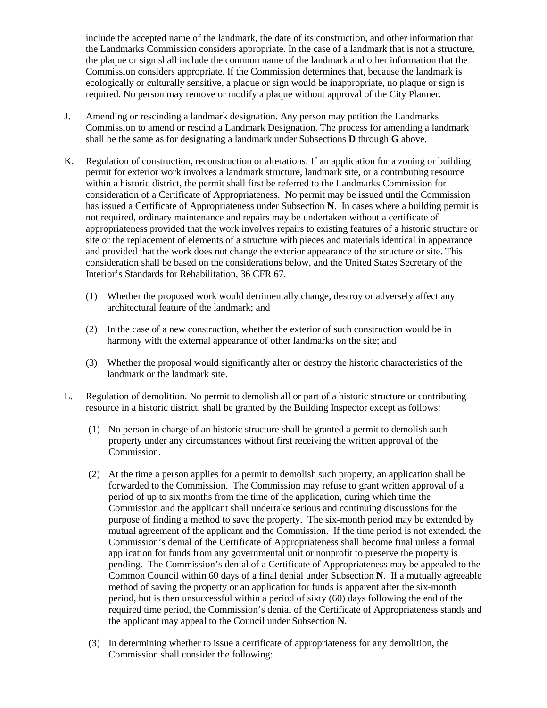include the accepted name of the landmark, the date of its construction, and other information that the Landmarks Commission considers appropriate. In the case of a landmark that is not a structure, the plaque or sign shall include the common name of the landmark and other information that the Commission considers appropriate. If the Commission determines that, because the landmark is ecologically or culturally sensitive, a plaque or sign would be inappropriate, no plaque or sign is required. No person may remove or modify a plaque without approval of the City Planner.

- J. Amending or rescinding a landmark designation. Any person may petition the Landmarks Commission to amend or rescind a Landmark Designation. The process for amending a landmark shall be the same as for designating a landmark under Subsections **D** through **G** above.
- K. Regulation of construction, reconstruction or alterations. If an application for a zoning or building permit for exterior work involves a landmark structure, landmark site, or a contributing resource within a historic district, the permit shall first be referred to the Landmarks Commission for consideration of a Certificate of Appropriateness. No permit may be issued until the Commission has issued a Certificate of Appropriateness under Subsection **N**. In cases where a building permit is not required, ordinary maintenance and repairs may be undertaken without a certificate of appropriateness provided that the work involves repairs to existing features of a historic structure or site or the replacement of elements of a structure with pieces and materials identical in appearance and provided that the work does not change the exterior appearance of the structure or site. This consideration shall be based on the considerations below, and the United States Secretary of the Interior's Standards for Rehabilitation, 36 CFR 67.
	- (1) Whether the proposed work would detrimentally change, destroy or adversely affect any architectural feature of the landmark; and
	- (2) In the case of a new construction, whether the exterior of such construction would be in harmony with the external appearance of other landmarks on the site; and
	- (3) Whether the proposal would significantly alter or destroy the historic characteristics of the landmark or the landmark site.
- L. Regulation of demolition. No permit to demolish all or part of a historic structure or contributing resource in a historic district, shall be granted by the Building Inspector except as follows:
	- (1) No person in charge of an historic structure shall be granted a permit to demolish such property under any circumstances without first receiving the written approval of the Commission.
	- (2) At the time a person applies for a permit to demolish such property, an application shall be forwarded to the Commission. The Commission may refuse to grant written approval of a period of up to six months from the time of the application, during which time the Commission and the applicant shall undertake serious and continuing discussions for the purpose of finding a method to save the property. The six-month period may be extended by mutual agreement of the applicant and the Commission. If the time period is not extended, the Commission's denial of the Certificate of Appropriateness shall become final unless a formal application for funds from any governmental unit or nonprofit to preserve the property is pending. The Commission's denial of a Certificate of Appropriateness may be appealed to the Common Council within 60 days of a final denial under Subsection **N**. If a mutually agreeable method of saving the property or an application for funds is apparent after the six-month period, but is then unsuccessful within a period of sixty (60) days following the end of the required time period, the Commission's denial of the Certificate of Appropriateness stands and the applicant may appeal to the Council under Subsection **N**.
	- (3) In determining whether to issue a certificate of appropriateness for any demolition, the Commission shall consider the following: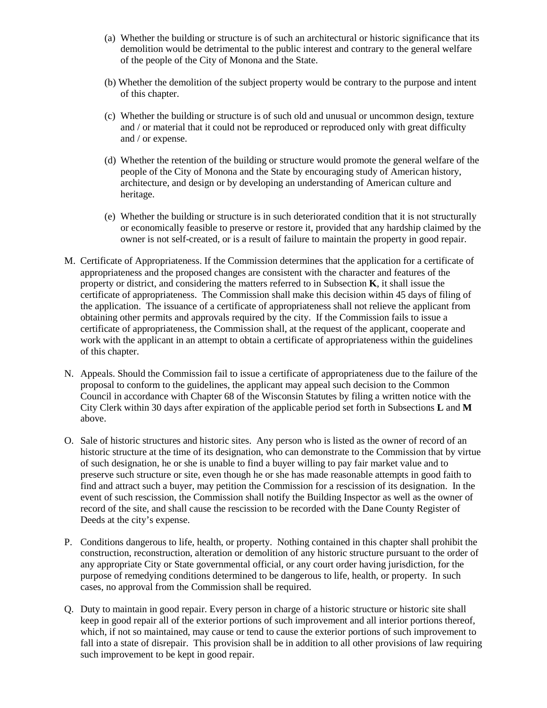- (a) Whether the building or structure is of such an architectural or historic significance that its demolition would be detrimental to the public interest and contrary to the general welfare of the people of the City of Monona and the State.
- (b) Whether the demolition of the subject property would be contrary to the purpose and intent of this chapter.
- (c) Whether the building or structure is of such old and unusual or uncommon design, texture and / or material that it could not be reproduced or reproduced only with great difficulty and / or expense.
- (d) Whether the retention of the building or structure would promote the general welfare of the people of the City of Monona and the State by encouraging study of American history, architecture, and design or by developing an understanding of American culture and heritage.
- (e) Whether the building or structure is in such deteriorated condition that it is not structurally or economically feasible to preserve or restore it, provided that any hardship claimed by the owner is not self-created, or is a result of failure to maintain the property in good repair.
- M. Certificate of Appropriateness. If the Commission determines that the application for a certificate of appropriateness and the proposed changes are consistent with the character and features of the property or district, and considering the matters referred to in Subsection **K**, it shall issue the certificate of appropriateness. The Commission shall make this decision within 45 days of filing of the application. The issuance of a certificate of appropriateness shall not relieve the applicant from obtaining other permits and approvals required by the city. If the Commission fails to issue a certificate of appropriateness, the Commission shall, at the request of the applicant, cooperate and work with the applicant in an attempt to obtain a certificate of appropriateness within the guidelines of this chapter.
- N. Appeals. Should the Commission fail to issue a certificate of appropriateness due to the failure of the proposal to conform to the guidelines, the applicant may appeal such decision to the Common Council in accordance with Chapter 68 of the Wisconsin Statutes by filing a written notice with the City Clerk within 30 days after expiration of the applicable period set forth in Subsections **L** and **M** above.
- O. Sale of historic structures and historic sites. Any person who is listed as the owner of record of an historic structure at the time of its designation, who can demonstrate to the Commission that by virtue of such designation, he or she is unable to find a buyer willing to pay fair market value and to preserve such structure or site, even though he or she has made reasonable attempts in good faith to find and attract such a buyer, may petition the Commission for a rescission of its designation. In the event of such rescission, the Commission shall notify the Building Inspector as well as the owner of record of the site, and shall cause the rescission to be recorded with the Dane County Register of Deeds at the city's expense.
- P. Conditions dangerous to life, health, or property. Nothing contained in this chapter shall prohibit the construction, reconstruction, alteration or demolition of any historic structure pursuant to the order of any appropriate City or State governmental official, or any court order having jurisdiction, for the purpose of remedying conditions determined to be dangerous to life, health, or property. In such cases, no approval from the Commission shall be required.
- Q. Duty to maintain in good repair. Every person in charge of a historic structure or historic site shall keep in good repair all of the exterior portions of such improvement and all interior portions thereof, which, if not so maintained, may cause or tend to cause the exterior portions of such improvement to fall into a state of disrepair. This provision shall be in addition to all other provisions of law requiring such improvement to be kept in good repair.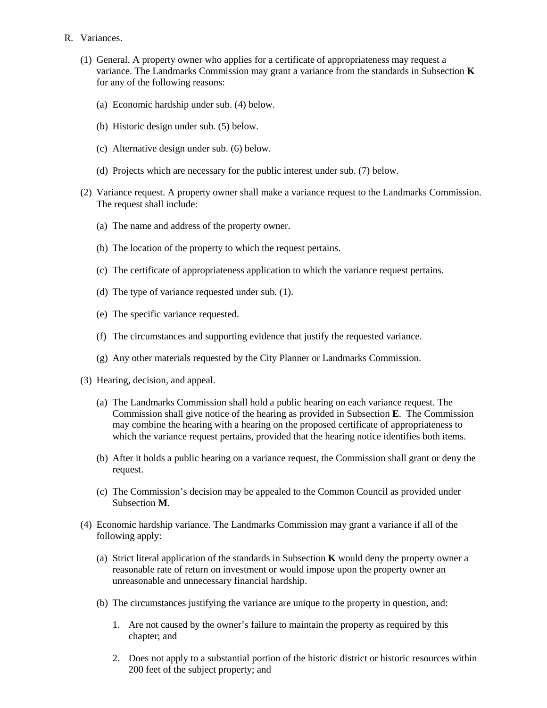- R. Variances.
	- (1) General. A property owner who applies for a certificate of appropriateness may request a variance. The Landmarks Commission may grant a variance from the standards in Subsection **K** for any of the following reasons:
		- (a) Economic hardship under sub. (4) below.
		- (b) Historic design under sub. (5) below.
		- (c) Alternative design under sub. (6) below.
		- (d) Projects which are necessary for the public interest under sub. (7) below.
	- (2) Variance request. A property owner shall make a variance request to the Landmarks Commission. The request shall include:
		- (a) The name and address of the property owner.
		- (b) The location of the property to which the request pertains.
		- (c) The certificate of appropriateness application to which the variance request pertains.
		- (d) The type of variance requested under sub. (1).
		- (e) The specific variance requested.
		- (f) The circumstances and supporting evidence that justify the requested variance.
		- (g) Any other materials requested by the City Planner or Landmarks Commission.
	- (3) Hearing, decision, and appeal.
		- (a) The Landmarks Commission shall hold a public hearing on each variance request. The Commission shall give notice of the hearing as provided in Subsection **E**. The Commission may combine the hearing with a hearing on the proposed certificate of appropriateness to which the variance request pertains, provided that the hearing notice identifies both items.
		- (b) After it holds a public hearing on a variance request, the Commission shall grant or deny the request.
		- (c) The Commission's decision may be appealed to the Common Council as provided under Subsection **M**.
	- (4) Economic hardship variance. The Landmarks Commission may grant a variance if all of the following apply:
		- (a) Strict literal application of the standards in Subsection **K** would deny the property owner a reasonable rate of return on investment or would impose upon the property owner an unreasonable and unnecessary financial hardship.
		- (b) The circumstances justifying the variance are unique to the property in question, and:
			- 1. Are not caused by the owner's failure to maintain the property as required by this chapter; and
			- 2. Does not apply to a substantial portion of the historic district or historic resources within 200 feet of the subject property; and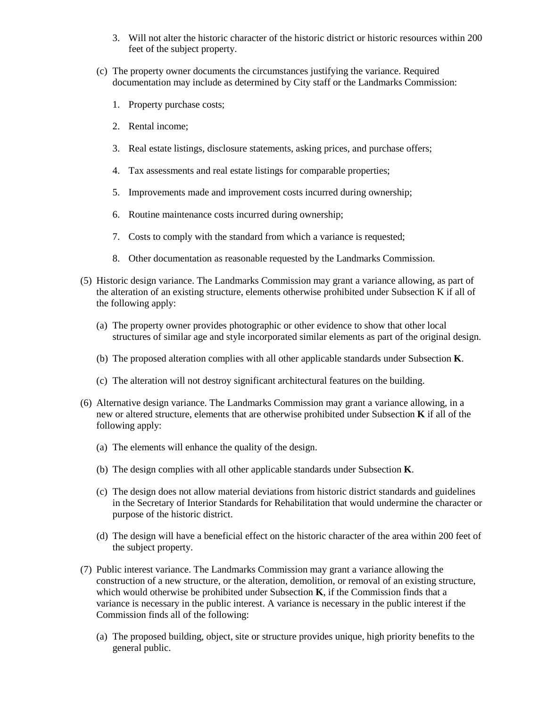- 3. Will not alter the historic character of the historic district or historic resources within 200 feet of the subject property.
- (c) The property owner documents the circumstances justifying the variance. Required documentation may include as determined by City staff or the Landmarks Commission:
	- 1. Property purchase costs;
	- 2. Rental income;
	- 3. Real estate listings, disclosure statements, asking prices, and purchase offers;
	- 4. Tax assessments and real estate listings for comparable properties;
	- 5. Improvements made and improvement costs incurred during ownership;
	- 6. Routine maintenance costs incurred during ownership;
	- 7. Costs to comply with the standard from which a variance is requested;
	- 8. Other documentation as reasonable requested by the Landmarks Commission.
- (5) Historic design variance. The Landmarks Commission may grant a variance allowing, as part of the alteration of an existing structure, elements otherwise prohibited under Subsection K if all of the following apply:
	- (a) The property owner provides photographic or other evidence to show that other local structures of similar age and style incorporated similar elements as part of the original design.
	- (b) The proposed alteration complies with all other applicable standards under Subsection **K**.
	- (c) The alteration will not destroy significant architectural features on the building.
- (6) Alternative design variance. The Landmarks Commission may grant a variance allowing, in a new or altered structure, elements that are otherwise prohibited under Subsection **K** if all of the following apply:
	- (a) The elements will enhance the quality of the design.
	- (b) The design complies with all other applicable standards under Subsection **K**.
	- (c) The design does not allow material deviations from historic district standards and guidelines in the Secretary of Interior Standards for Rehabilitation that would undermine the character or purpose of the historic district.
	- (d) The design will have a beneficial effect on the historic character of the area within 200 feet of the subject property.
- (7) Public interest variance. The Landmarks Commission may grant a variance allowing the construction of a new structure, or the alteration, demolition, or removal of an existing structure, which would otherwise be prohibited under Subsection **K**, if the Commission finds that a variance is necessary in the public interest. A variance is necessary in the public interest if the Commission finds all of the following:
	- (a) The proposed building, object, site or structure provides unique, high priority benefits to the general public.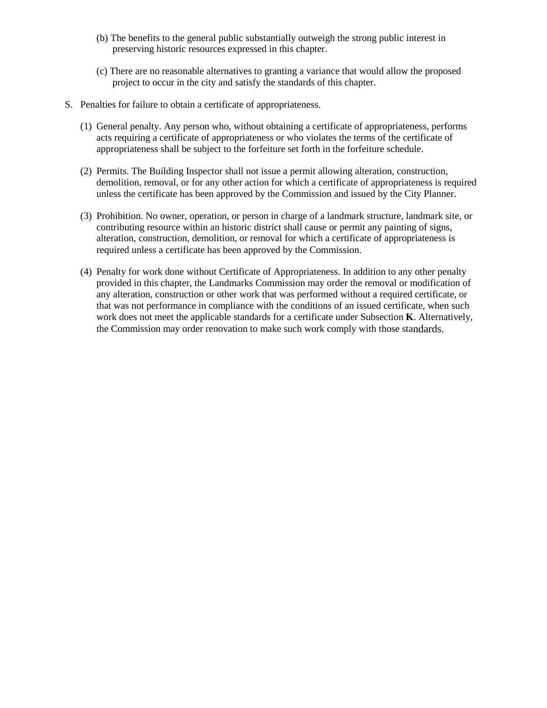- (b) The benefits to the general public substantially outweigh the strong public interest in preserving historic resources expressed in this chapter.
- (c) There are no reasonable alternatives to granting a variance that would allow the proposed project to occur in the city and satisfy the standards of this chapter.
- S. Penalties for failure to obtain a certificate of appropriateness.
	- (1) General penalty. Any person who, without obtaining a certificate of appropriateness, performs acts requiring a certificate of appropriateness or who violates the terms of the certificate of appropriateness shall be subject to the forfeiture set forth in the forfeiture schedule.
	- (2) Permits. The Building Inspector shall not issue a permit allowing alteration, construction, demolition, removal, or for any other action for which a certificate of appropriateness is required unless the certificate has been approved by the Commission and issued by the City Planner.
	- (3) Prohibition. No owner, operation, or person in charge of a landmark structure, landmark site, or contributing resource within an historic district shall cause or permit any painting of signs, alteration, construction, demolition, or removal for which a certificate of appropriateness is required unless a certificate has been approved by the Commission.
	- (4) Penalty for work done without Certificate of Appropriateness. In addition to any other penalty provided in this chapter, the Landmarks Commission may order the removal or modification of any alteration, construction or other work that was performed without a required certificate, or that was not performance in compliance with the conditions of an issued certificate, when such work does not meet the applicable standards for a certificate under Subsection **K**. Alternatively, the Commission may order renovation to make such work comply with those standards.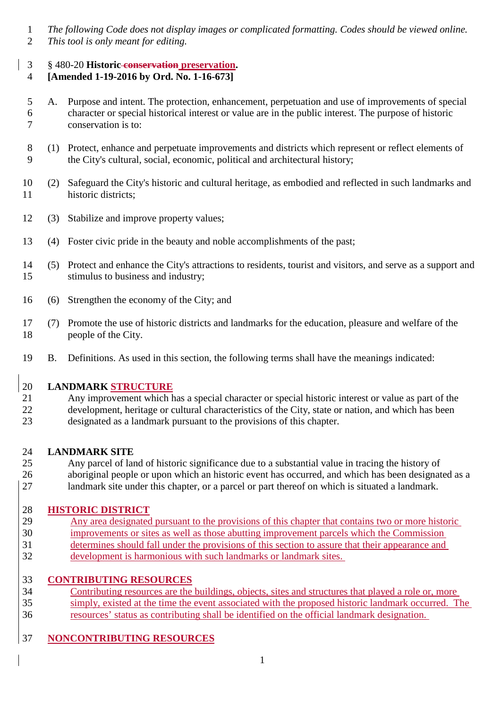- *The following Code does not display images or complicated formatting. Codes should be viewed online.*
- *This tool is only meant for editing.*
- § 480-20 **Historic conservation preservation.**

# **[Amended 1-19-2016 by Ord. No. 1-16-673]**

- A. Purpose and intent. The protection, enhancement, perpetuation and use of improvements of special character or special historical interest or value are in the public interest. The purpose of historic conservation is to:
- (1) Protect, enhance and perpetuate improvements and districts which represent or reflect elements of the City's cultural, social, economic, political and architectural history;
- (2) Safeguard the City's historic and cultural heritage, as embodied and reflected in such landmarks and historic districts;
- (3) Stabilize and improve property values;
- (4) Foster civic pride in the beauty and noble accomplishments of the past;
- (5) Protect and enhance the City's attractions to residents, tourist and visitors, and serve as a support and stimulus to business and industry;
- (6) Strengthen the economy of the City; and
- (7) Promote the use of historic districts and landmarks for the education, pleasure and welfare of the people of the City.
- B. Definitions. As used in this section, the following terms shall have the meanings indicated:

### **LANDMARK STRUCTURE**

- Any improvement which has a special character or special historic interest or value as part of the development, heritage or cultural characteristics of the City, state or nation, and which has been
- designated as a landmark pursuant to the provisions of this chapter.

### **LANDMARK SITE**

- Any parcel of land of historic significance due to a substantial value in tracing the history of
- aboriginal people or upon which an historic event has occurred, and which has been designated as a
- landmark site under this chapter, or a parcel or part thereof on which is situated a landmark.

# 28 **HISTORIC DISTRICT**<br>29 Any area designated

- Any area designated pursuant to the provisions of this chapter that contains two or more historic improvements or sites as well as those abutting improvement parcels which the Commission
- determines should fall under the provisions of this section to assure that their appearance and
- development is harmonious with such landmarks or landmark sites.

# **CONTRIBUTING RESOURCES**

- Contributing resources are the buildings, objects, sites and structures that played a role or, more simply, existed at the time the event associated with the proposed historic landmark occurred. The
- resources' status as contributing shall be identified on the official landmark designation.

# **NONCONTRIBUTING RESOURCES**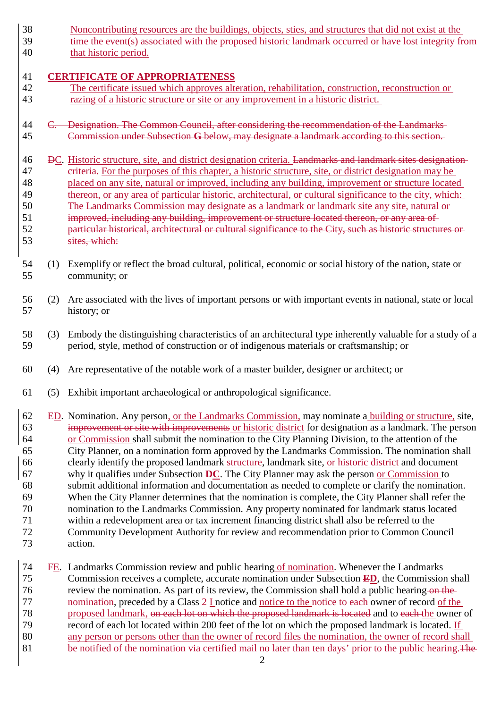- Noncontributing resources are the buildings, objects, sties, and structures that did not exist at the time the event(s) associated with the proposed historic landmark occurred or have lost integrity from
- that historic period.

### **CERTIFICATE OF APPROPRIATENESS**

- The certificate issued which approves alteration, rehabilitation, construction, reconstruction or razing of a historic structure or site or any improvement in a historic district.
- 44 C. Designation. The Common Council, after considering the recommendation of the Landmarks Commission under Subsection **G** below, may designate a landmark according to this section.
- DC. Historic structure, site, and district designation criteria. Landmarks and landmark sites designation 47 eriteria. For the purposes of this chapter, a historic structure, site, or district designation may be placed on any site, natural or improved, including any building, improvement or structure located thereon, or any area of particular historic, architectural, or cultural significance to the city, which: The Landmarks Commission may designate as a landmark or landmark site any site, natural or 51 improved, including any building, improvement or structure located thereon, or any area of particular historical, architectural or cultural significance to the City, such as historic structures or sites, which:
- (1) Exemplify or reflect the broad cultural, political, economic or social history of the nation, state or community; or
- (2) Are associated with the lives of important persons or with important events in national, state or local history; or
- (3) Embody the distinguishing characteristics of an architectural type inherently valuable for a study of a period, style, method of construction or of indigenous materials or craftsmanship; or
- (4) Are representative of the notable work of a master builder, designer or architect; or
- (5) Exhibit important archaeological or anthropological significance.
- 62 ED. Nomination. Any person, or the Landmarks Commission, may nominate a building or structure, site, improvement or site with improvements or historic district for designation as a landmark. The person improvement or site with improvements or historic district for designation as a landmark. The person or Commission shall submit the nomination to the City Planning Division, to the attention of the City Planner, on a nomination form approved by the Landmarks Commission. The nomination shall clearly identify the proposed landmark structure, landmark site, or historic district and document why it qualifies under Subsection **DC**. The City Planner may ask the person or Commission to submit additional information and documentation as needed to complete or clarify the nomination. When the City Planner determines that the nomination is complete, the City Planner shall refer the nomination to the Landmarks Commission. Any property nominated for landmark status located within a redevelopment area or tax increment financing district shall also be referred to the Community Development Authority for review and recommendation prior to Common Council action.
- FE. Landmarks Commission review and public hearing of nomination. Whenever the Landmarks Commission receives a complete, accurate nomination under Subsection **ED**, the Commission shall 76 review the nomination. As part of its review, the Commission shall hold a public hearing on the **17** 17 **nomination**, preceded by a Class 2-I notice and <u>notice to the notice to each</u> owner of record <u>of the</u> proposed landmark.  $\theta$  each lot on which the proposed landmark is located and to each the owner proposed landmark, on each lot on which the proposed landmark is located and to each the owner of record of each lot located within 200 feet of the lot on which the proposed landmark is located. If record of each lot located within 200 feet of the lot on which the proposed landmark is located. If any person or persons other than the owner of record files the nomination, the owner of record shall 81 be notified of the nomination via certified mail no later than ten days' prior to the public hearing. The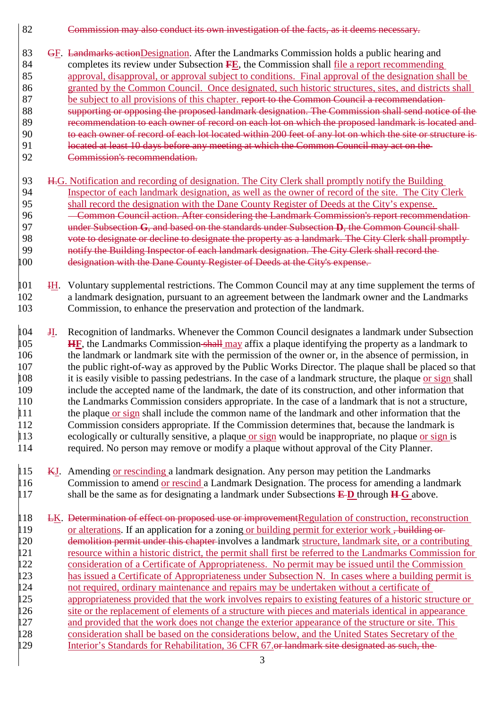- 82 **Commission may also conduct its own investigation of the facts, as it deems necessary.**
- 83 GF. Landmarks actionDesignation. After the Landmarks Commission holds a public hearing and 84 completes its review under Subsection **FE**, the Commission shall file a report recommending 85 approval, disapproval, or approval subject to conditions. Final approval of the designation shall be 86 granted by the Common Council. Once designated, such historic structures, sites, and districts shall 87 be subject to all provisions of this chapter. report to the Common Council a recommendation-88 supporting or opposing the proposed landmark designation. The Commission shall send notice of the 89 recommendation to each owner of record on each lot on which the proposed landmark is located and<br>80 to each owner of record of each lot located within 200 feet of any lot on which the site or structure is to each owner of record of each lot located within 200 feet of any lot on which the site or structure is 91 located at least 10 days before any meeting at which the Common Council may act on the 92 Commission's recommendation.
- 93 H.G. Notification and recording of designation. The City Clerk shall promptly notify the Building 94 Inspector of each landmark designation, as well as the owner of record of the site. The City Clerk 95 shall record the designation with the Dane County Register of Deeds at the City's expense. 96 Common Council action. After considering the Landmark Commission's report recommendation-97 under Subsection **G**, and based on the standards under Subsection **D**, the Common Council shall 98 vote to designate or decline to designate the property as a landmark. The City Clerk shall promptly-<br>99 notify the Building Inspector of each landmark designation. The City Clerk shall record the notify the Building Inspector of each landmark designation. The City Clerk shall record the 100 designation with the Dane County Register of Deeds at the City's expense.
- 101 IH. Voluntary supplemental restrictions. The Common Council may at any time supplement the terms of 102 a landmark designation, pursuant to an agreement between the landmark owner and the Landmarks<br>103 Commission, to enhance the preservation and protection of the landmark. Commission, to enhance the preservation and protection of the landmark.
- 104 JI. Recognition of landmarks. Whenever the Common Council designates a landmark under Subsection 105 **HF**, the Landmarks Commission shall may affix a plaque identifying the property as a landmark to 106 the landmark or landmark site with the permission of the owner or, in the absence of permission, in 107 the public right-of-way as approved by the Public Works Director. The plaque shall be placed so that 108 it is easily visible to passing pedestrians. In the case of a landmark structure, the plaque or sign shall 109 include the accepted name of the landmark, the date of its construction, and other information that the Landmarks Commission considers appropriate. In the case of a landmark that is not a structure,<br>
11 the plaque or sign shall include the common name of the landmark and other information that the 111 the plaque or sign shall include the common name of the landmark and other information that the 112 Commission considers appropriate. If the Commission determines that, because the landmark is  $\parallel$ 13 ecologically or culturally sensitive, a plaque <u>or sign</u> would be inappropriate, no plaque <u>or sign</u> is 114 required. No person may remove or modify a plaque without approval of the City Planner.
- 115 KJ. Amending or rescinding a landmark designation. Any person may petition the Landmarks 116 Commission to amend <u>or rescind</u> a Landmark Designation. The process for amending a landmark shall be the same as for designating a landmark under Subsections  $E$ D through  $H$ <sup>G</sup> above. shall be the same as for designating a landmark under Subsections  $E$ **D** through  $H$ **G** above.
- 118 LK. Determination of effect on proposed use or improvement Regulation of construction, reconstruction 119 or alterations. If an application for a zoning or building permit for exterior work, building or 120 demolition permit under this chapter involves a landmark structure, landmark site, or a contributing 121 resource within a historic district, the permit shall first be referred to the Landmarks Commission for 122 consideration of a Certificate of Appropriateness. No permit may be issued until the Commission 123 has issued a Certificate of Appropriateness under Subsection N. In cases where a building permit is 124 not required, ordinary maintenance and repairs may be undertaken without a certificate of 125 appropriateness provided that the work involves repairs to existing features of a historic structure or 126 site or the replacement of elements of a structure with pieces and materials identical in appearance 127 and provided that the work does not change the exterior appearance of the structure or site. This 128 consideration shall be based on the considerations below, and the United States Secretary of the 129 Interior's Standards for Rehabilitation, 36 CFR 67.<del>or landmark site designated as such, the</del>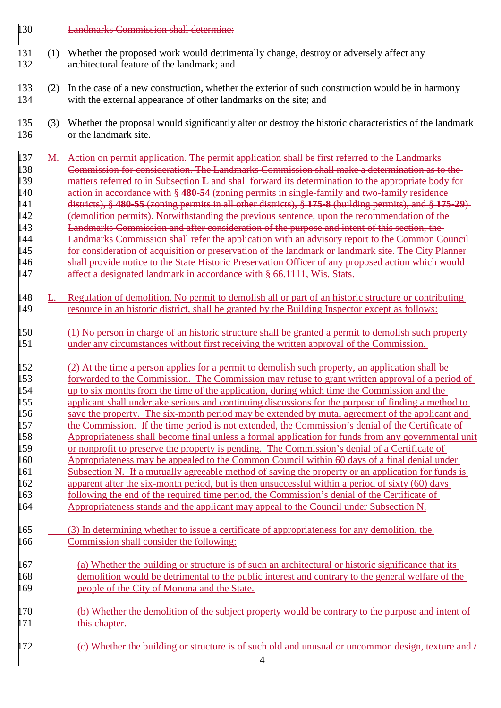### **Landmarks Commission shall determine:**

- (1) Whether the proposed work would detrimentally change, destroy or adversely affect any architectural feature of the landmark; and
- (2) In the case of a new construction, whether the exterior of such construction would be in harmony with the external appearance of other landmarks on the site; and
- (3) Whether the proposal would significantly alter or destroy the historic characteristics of the landmark or the landmark site.
- 137 M. Action on permit application. The permit application shall be first referred to the Landmarks 138 **Commission for consideration. The Landmarks Commission shall make a determination as to the**<br>139 matters referred to in Subsection **L** and shall forward its determination to the appropriate body for matters referred to in Subsection **L** and shall forward its determination to the appropriate body for action in accordance with § **480-54** (zoning permits in single-family and two-family residence districts), § **480-55** (zoning permits in all other districts), § **175-8** (building permits), and § **175-29**) 142 (demolition permits). Notwithstanding the previous sentence, upon the recommendation of the 143 Landmarks Commission and after consideration of the purpose and intent of this section, the 144 Landmarks Commission shall refer the application with an advisory report to the Common Council for consideration of acquisition or preservation of the landmark or landmark site. The City Planner 146 shall provide notice to the State Historic Preservation Officer of any proposed action which would-<br>147 affect a designated landmark in accordance with § 66.1111. Wis. Stats. affect a designated landmark in accordance with § 66.1111, Wis. Stats.
- 148 L. Regulation of demolition. No permit to demolish all or part of an historic structure or contributing<br>149 resource in an historic district, shall be granted by the Building Inspector except as follows: resource in an historic district, shall be granted by the Building Inspector except as follows:
- (1) No person in charge of an historic structure shall be granted a permit to demolish such property under any circumstances without first receiving the written approval of the Commission.
- (2) At the time a person applies for a permit to demolish such property, an application shall be forwarded to the Commission. The Commission may refuse to grant written approval of a period of up to six months from the time of the application, during which time the Commission and the applicant shall undertake serious and continuing discussions for the purpose of finding a method to save the property. The six-month period may be extended by mutal agreement of the applicant and the Commission. If the time period is not extended, the Commission's denial of the Certificate of 158 Appropriateness shall become final unless a formal application for funds from any governmental unit<br>159 or nonprofit to preserve the property is pending. The Commission's denial of a Certificate of or nonprofit to preserve the property is pending. The Commission's denial of a Certificate of Appropriateness may be appealed to the Common Council within 60 days of a final denial under Subsection N. If a mutually agreeable method of saving the property or an application for funds is 162 apparent after the six-month period, but is then unsuccessful within a period of sixty (60) days 163 following the end of the required time period, the Commission's denial of the Certificate of 164 Appropriateness stands and the applicant may appeal to the Council under Subsection N.
- (3) In determining whether to issue a certificate of appropriateness for any demolition, the Commission shall consider the following:
- (a) Whether the building or structure is of such an architectural or historic significance that its demolition would be detrimental to the public interest and contrary to the general welfare of the 169 people of the City of Monona and the State.
- (b) Whether the demolition of the subject property would be contrary to the purpose and intent of 171 this chapter.
- 172 (c) Whether the building or structure is of such old and unusual or uncommon design, texture and /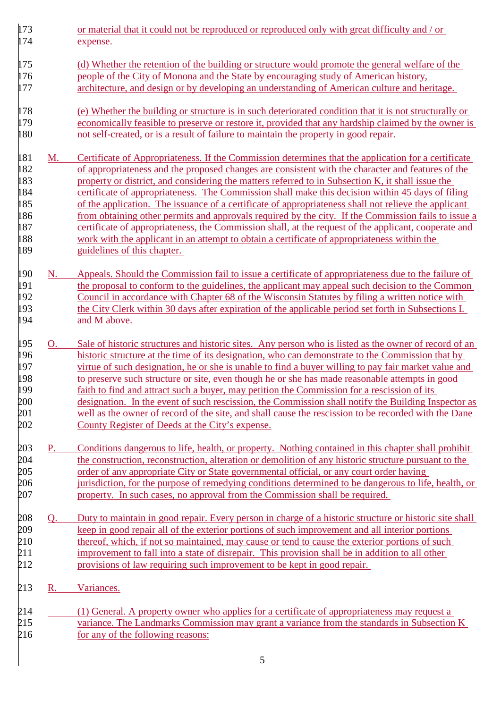173 or material that it could not be reproduced or reproduced only with great difficulty and / or 174 expense. 175 (d) Whether the retention of the building or structure would promote the general welfare of the 176 people of the City of Monona and the State by encouraging study of American history, 177 architecture, and design or by developing an understanding of American culture and heritage. 178 (e) Whether the building or structure is in such deteriorated condition that it is not structurally or 179 economically feasible to preserve or restore it, provided that any hardship claimed by the owner is 180 not self-created, or is a result of failure to maintain the property in good repair. 181 M. Certificate of Appropriateness. If the Commission determines that the application for a certificate 182 of appropriateness and the proposed changes are consistent with the character and features of the 183 property or district, and considering the matters referred to in Subsection K, it shall issue the 184 certificate of appropriateness. The Commission shall make this decision within 45 days of filing 185 of the application. The issuance of a certificate of appropriateness shall not relieve the applicant 186 from obtaining other permits and approvals required by the city. If the Commission fails to issue a 187 certificate of appropriateness, the Commission shall, at the request of the applicant, cooperate and 188 work with the applicant in an attempt to obtain a certificate of appropriateness within the 189 guidelines of this chapter. 190 N. Appeals. Should the Commission fail to issue a certificate of appropriateness due to the failure of 191 the proposal to conform to the guidelines, the applicant may appeal such decision to the Common 192 Council in accordance with Chapter 68 of the Wisconsin Statutes by filing a written notice with<br>193 the City Clerk within 30 days after expiration of the applicable period set forth in Subsections L 193 the City Clerk within 30 days after expiration of the applicable period set forth in Subsections L<br>194 and M above. and M above. 195 O. Sale of historic structures and historic sites. Any person who is listed as the owner of record of an 196 historic structure at the time of its designation, who can demonstrate to the Commission that by 197 virtue of such designation, he or she is unable to find a buyer willing to pay fair market value and 198 to preserve such structure or site, even though he or she has made reasonable attempts in good 199 faith to find and attract such a buyer, may petition the Commission for a rescission of its 200 designation. In the event of such rescission, the Commission shall notify the Building Inspector as<br>201 well as the owner of record of the site, and shall cause the rescission to be recorded with the Dane well as the owner of record of the site, and shall cause the rescission to be recorded with the Dane 202 County Register of Deeds at the City's expense. 203 P. Conditions dangerous to life, health, or property. Nothing contained in this chapter shall prohibit the construction, reconstruction, alteration or demolition of any historic structure pursuant to the 204 the construction, reconstruction, alteration or demolition of any historic structure pursuant to the 205 <u>order of any appropriate City or State governmental official, or any court order having</u><br>206 iurisdiction, for the purpose of remedying conditions determined to be dangerous to life 206 jurisdiction, for the purpose of remedying conditions determined to be dangerous to life, health, or property. In such cases, no approval from the Commission shall be required. property. In such cases, no approval from the Commission shall be required. 208 Q. Duty to maintain in good repair. Every person in charge of a historic structure or historic site shall 209 keep in good repair all of the exterior portions of such improvement and all interior portions 210 thereof, which, if not so maintained, may cause or tend to cause the exterior portions of such 211 improvement to fall into a state of disrepair. This provision shall be in addition to all other 212 provisions of law requiring such improvement to be kept in good repair. 213 R. Variances. 214 (1) General. A property owner who applies for a certificate of appropriateness may request a 215 variance. The Landmarks Commission may grant a variance from the standards in Subsection K 216 for any of the following reasons: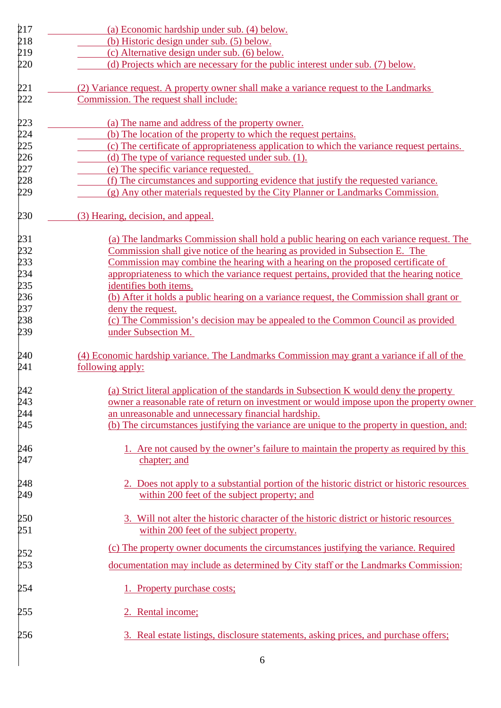| 217            | (a) Economic hardship under sub. (4) below.                                                 |
|----------------|---------------------------------------------------------------------------------------------|
| 218            | (b) Historic design under sub. (5) below.                                                   |
| 219            | (c) Alternative design under sub. (6) below.                                                |
| 220            | (d) Projects which are necessary for the public interest under sub. (7) below.              |
| 221            | (2) Variance request. A property owner shall make a variance request to the Landmarks       |
| 222            | Commission. The request shall include:                                                      |
| 223            | (a) The name and address of the property owner.                                             |
| 224            | (b) The location of the property to which the request pertains.                             |
|                | (c) The certificate of appropriateness application to which the variance request pertains.  |
| 225<br>226     | (d) The type of variance requested under sub. (1).                                          |
| 227            | (e) The specific variance requested.                                                        |
| 228            | (f) The circumstances and supporting evidence that justify the requested variance.          |
| 229            | $(g)$ Any other materials requested by the City Planner or Landmarks Commission.            |
| 230            | (3) Hearing, decision, and appeal.                                                          |
| 231            | (a) The landmarks Commission shall hold a public hearing on each variance request. The      |
| 232            | Commission shall give notice of the hearing as provided in Subsection E. The                |
| 233            | Commission may combine the hearing with a hearing on the proposed certificate of            |
| 234            | appropriateness to which the variance request pertains, provided that the hearing notice    |
| 235            | identifies both items.                                                                      |
| 236            | (b) After it holds a public hearing on a variance request, the Commission shall grant or    |
| 237            | deny the request.                                                                           |
| 238            | (c) The Commission's decision may be appealed to the Common Council as provided             |
| 239            | under Subsection M.                                                                         |
| 240            | (4) Economic hardship variance. The Landmarks Commission may grant a variance if all of the |
| 241            | following apply:                                                                            |
| 242            | (a) Strict literal application of the standards in Subsection K would deny the property     |
| 243            | owner a reasonable rate of return on investment or would impose upon the property owner     |
|                | an unreasonable and unnecessary financial hardship.                                         |
| $244$<br>$245$ | (b) The circumstances justifying the variance are unique to the property in question, and:  |
|                | 1. Are not caused by the owner's failure to maintain the property as required by this       |
| 246<br>247     | chapter; and                                                                                |
| 248            | 2. Does not apply to a substantial portion of the historic district or historic resources   |
| 249            | within 200 feet of the subject property; and                                                |
| 250            | 3. Will not alter the historic character of the historic district or historic resources     |
| 251            | within 200 feet of the subject property.                                                    |
| 252            | (c) The property owner documents the circumstances justifying the variance. Required        |
| 253            | documentation may include as determined by City staff or the Landmarks Commission:          |
| 254            | 1. Property purchase costs;                                                                 |
| 255            | 2. Rental income;                                                                           |
| 256            | 3. Real estate listings, disclosure statements, asking prices, and purchase offers;         |
|                |                                                                                             |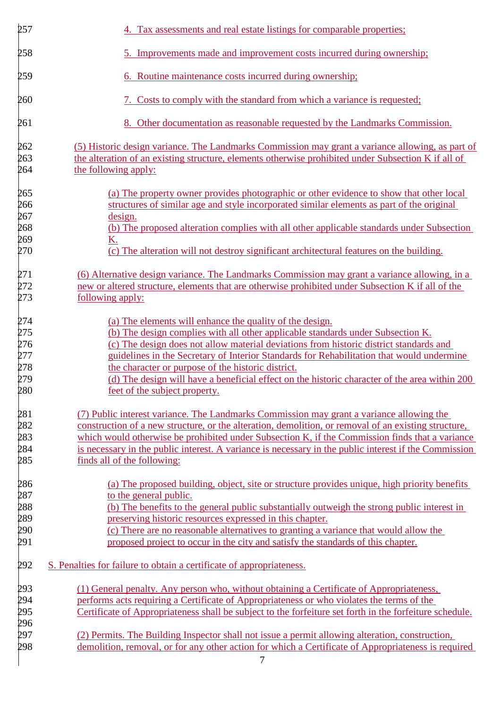| 257                                           | 4. Tax assessments and real estate listings for comparable properties;                                                                                                                                   |
|-----------------------------------------------|----------------------------------------------------------------------------------------------------------------------------------------------------------------------------------------------------------|
| 258                                           | 5. Improvements made and improvement costs incurred during ownership;                                                                                                                                    |
| 259                                           | 6. Routine maintenance costs incurred during ownership;                                                                                                                                                  |
| 260                                           | 7. Costs to comply with the standard from which a variance is requested;                                                                                                                                 |
| 261                                           | 8. Other documentation as reasonable requested by the Landmarks Commission.                                                                                                                              |
| 262                                           | (5) Historic design variance. The Landmarks Commission may grant a variance allowing, as part of                                                                                                         |
| 263<br>264                                    | the alteration of an existing structure, elements otherwise prohibited under Subsection K if all of<br>the following apply:                                                                              |
| 265                                           | (a) The property owner provides photographic or other evidence to show that other local                                                                                                                  |
| 266                                           | structures of similar age and style incorporated similar elements as part of the original                                                                                                                |
| 267                                           | design.                                                                                                                                                                                                  |
| 268<br>269                                    | (b) The proposed alteration complies with all other applicable standards under Subsection                                                                                                                |
| 270                                           | <u>K.</u><br>(c) The alteration will not destroy significant architectural features on the building.                                                                                                     |
|                                               | (6) Alternative design variance. The Landmarks Commission may grant a variance allowing, in a                                                                                                            |
|                                               | new or altered structure, elements that are otherwise prohibited under Subsection K if all of the                                                                                                        |
| 271<br>272<br>273<br>                         | following apply:                                                                                                                                                                                         |
|                                               | (a) The elements will enhance the quality of the design.                                                                                                                                                 |
|                                               | (b) The design complies with all other applicable standards under Subsection K.                                                                                                                          |
|                                               | (c) The design does not allow material deviations from historic district standards and                                                                                                                   |
|                                               | guidelines in the Secretary of Interior Standards for Rehabilitation that would undermine                                                                                                                |
|                                               | the character or purpose of the historic district.                                                                                                                                                       |
| 274<br>275<br>276<br>277<br>278<br>279<br>280 | (d) The design will have a beneficial effect on the historic character of the area within 200                                                                                                            |
|                                               | feet of the subject property.                                                                                                                                                                            |
|                                               | (7) Public interest variance. The Landmarks Commission may grant a variance allowing the                                                                                                                 |
|                                               | construction of a new structure, or the alteration, demolition, or removal of an existing structure,                                                                                                     |
|                                               | which would otherwise be prohibited under Subsection K, if the Commission finds that a variance<br>is necessary in the public interest. A variance is necessary in the public interest if the Commission |
| 281<br>282<br>283<br>284<br>285               | finds all of the following:                                                                                                                                                                              |
| 286                                           | (a) The proposed building, object, site or structure provides unique, high priority benefits                                                                                                             |
| 287<br>288<br>289<br>290<br>291               | to the general public.                                                                                                                                                                                   |
|                                               | (b) The benefits to the general public substantially outweigh the strong public interest in                                                                                                              |
|                                               | preserving historic resources expressed in this chapter.                                                                                                                                                 |
|                                               | (c) There are no reasonable alternatives to granting a variance that would allow the                                                                                                                     |
|                                               | proposed project to occur in the city and satisfy the standards of this chapter.                                                                                                                         |
| 292                                           | S. Penalties for failure to obtain a certificate of appropriateness.                                                                                                                                     |
| 293                                           | (1) General penalty. Any person who, without obtaining a Certificate of Appropriateness,                                                                                                                 |
|                                               | performs acts requiring a Certificate of Appropriateness or who violates the terms of the                                                                                                                |
| 294<br>295<br>296<br>297<br>298               | Certificate of Appropriateness shall be subject to the forfeiture set forth in the forfeiture schedule.                                                                                                  |
|                                               |                                                                                                                                                                                                          |
|                                               | (2) Permits. The Building Inspector shall not issue a permit allowing alteration, construction,                                                                                                          |
|                                               | demolition, removal, or for any other action for which a Certificate of Appropriateness is required                                                                                                      |
|                                               | $\tau$                                                                                                                                                                                                   |